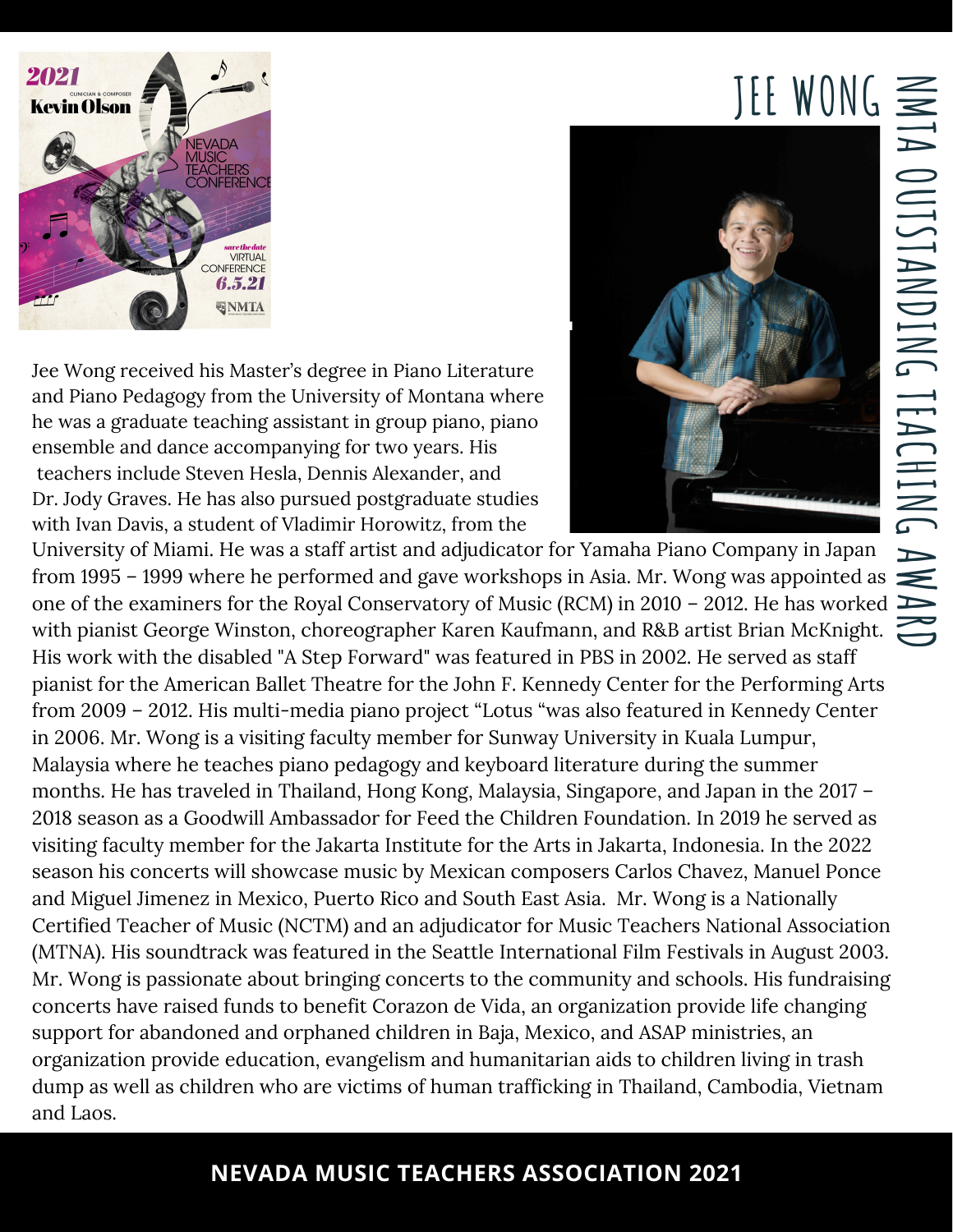## $JEF$   $WONG \equiv$

**M** — **A O U** — **S** — **A N D I N G**  $\overline{\phantom{a}}$ **E A C H I N G A**

 $\blacktriangleright$ **D**



Jee Wong received his Master's degree in Piano Literature and Piano Pedagogy from the University of Montana where he was a graduate teaching assistant in group piano, piano ensemble and dance accompanying for two years. His teachers include Steven Hesla, Dennis Alexander, and Dr. Jody Graves. He has also pursued postgraduate studies with Ivan Davis, a student of Vladimir Horowitz, from the



University of Miami. He was a staff artist and adjudicator for Yamaha Piano Company in Japan from 1995 – 1999 where he performed and gave workshops in Asia. Mr. Wong was appointed as  $\blacktriangleright$ one of the examiners for the Royal Conservatory of Music (RCM) in 2010 – 2012. He has worked **A** with pianist George Winston, choreographer Karen Kaufmann, and R&B artist Brian McKnight. His work with the disabled "A Step Forward" was featured in PBS in 2002. He served as staff pianist for the American Ballet Theatre for the John F. Kennedy Center for the Performing Arts from 2009 – 2012. His multi-media piano project "Lotus "was also featured in Kennedy Center in 2006. Mr. Wong is a visiting faculty member for Sunway University in Kuala Lumpur, Malaysia where he teaches piano pedagogy and keyboard literature during the summer months. He has traveled in Thailand, Hong Kong, Malaysia, Singapore, and Japan in the 2017 – 2018 season as a Goodwill Ambassador for Feed the Children Foundation. In 2019 he served as visiting faculty member for the Jakarta Institute for the Arts in Jakarta, Indonesia. In the 2022 season his concerts will showcase music by Mexican composers Carlos Chavez, Manuel Ponce and Miguel Jimenez in Mexico, Puerto Rico and South East Asia. Mr. Wong is a Nationally Certified Teacher of Music (NCTM) and an adjudicator for Music Teachers National Association (MTNA). His soundtrack was featured in the Seattle International Film Festivals in August 2003. Mr. Wong is passionate about bringing concerts to the community and schools. His fundraising concerts have raised funds to benefit Corazon de Vida, an organization provide life changing support for abandoned and orphaned children in Baja, Mexico, and ASAP ministries, an organization provide education, evangelism and humanitarian aids to children living in trash dump as well as children who are victims of human trafficking in Thailand, Cambodia, Vietnam and Laos.

## **NEVADA MUSIC TEACHERS ASSOCIATION 2021**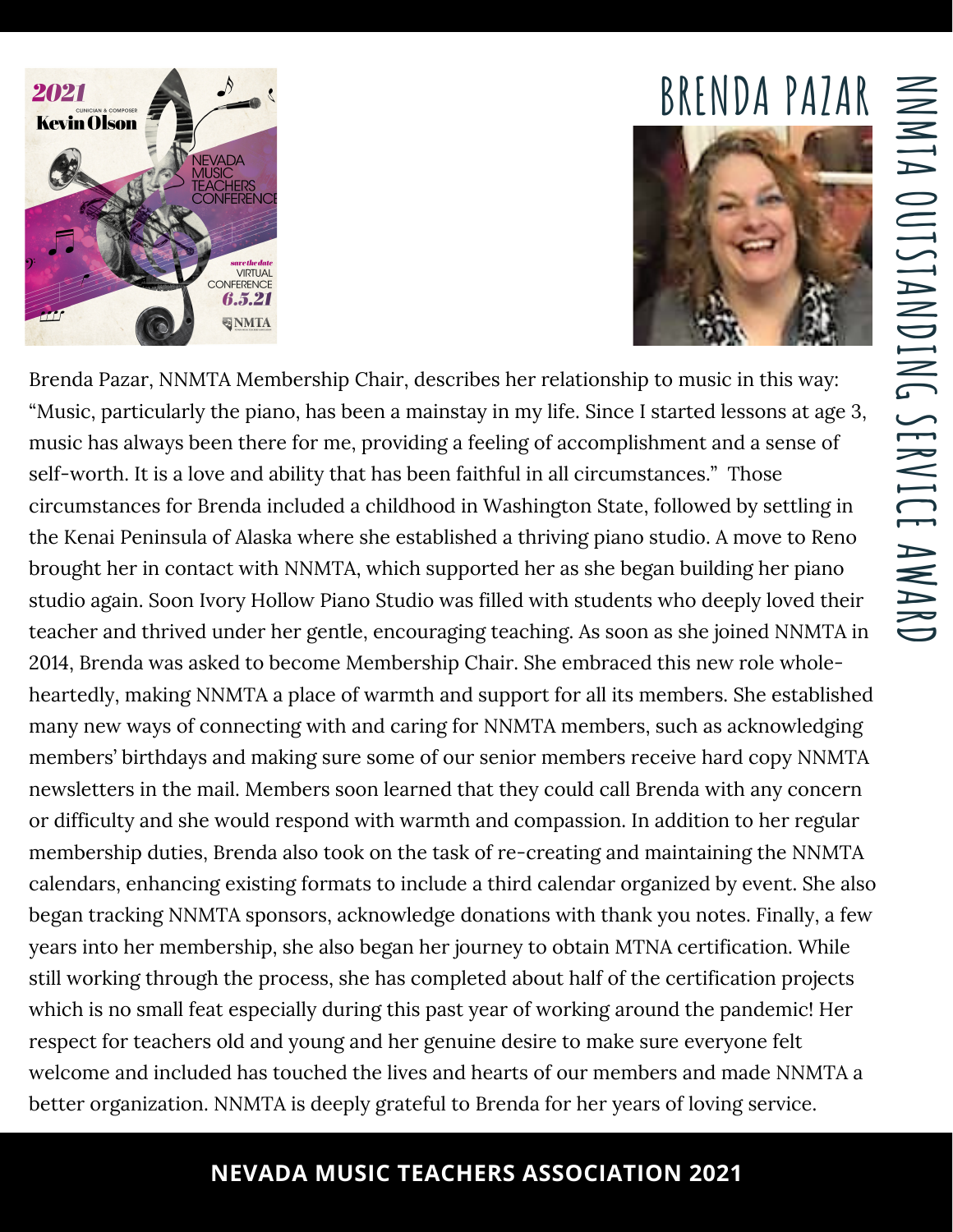

## **BRENDA PAZAR**



Brenda Pazar, NNMTA Membership Chair, describes her relationship to music in this way: "Music, particularly the piano, has been a mainstay in my life. Since I started lessons at age 3, music has always been there for me, providing a feeling of accomplishment and a sense of self-worth. It is a love and ability that has been faithful in all circumstances." Those circumstances for Brenda included a childhood in Washington State, followed by settling in the Kenai Peninsula of Alaska where she established a thriving piano studio. A move to Reno brought her in contact with NNMTA, which supported her as she began building her piano studio again. Soon Ivory Hollow Piano Studio was filled with students who deeply loved their teacher and thrived under her gentle, encouraging teaching. As soon as she joined NNMTA in 2014, Brenda was asked to become Membership Chair. She embraced this new role wholeheartedly, making NNMTA a place of warmth and support for all its members. She established many new ways of connecting with and caring for NNMTA members, such as acknowledging members' birthdays and making sure some of our senior members receive hard copy NNMTA newsletters in the mail. Members soon learned that they could call Brenda with any concern or difficulty and she would respond with warmth and compassion. In addition to her regular membership duties, Brenda also took on the task of re-creating and maintaining the NNMTA calendars, enhancing existing formats to include a third calendar organized by event. She also began tracking NNMTA sponsors, acknowledge donations with thank you notes. Finally, a few years into her membership, she also began her journey to obtain MTNA certification. While still working through the process, she has completed about half of the certification projects which is no small feat especially during this past year of working around the pandemic! Her respect for teachers old and young and her genuine desire to make sure everyone felt welcome and included has touched the lives and hearts of our members and made NNMTA a better organization. NNMTA is deeply grateful to Brenda for her years of loving service.

## **NEVADA MUSIC TEACHERS ASSOCIATION 2021**